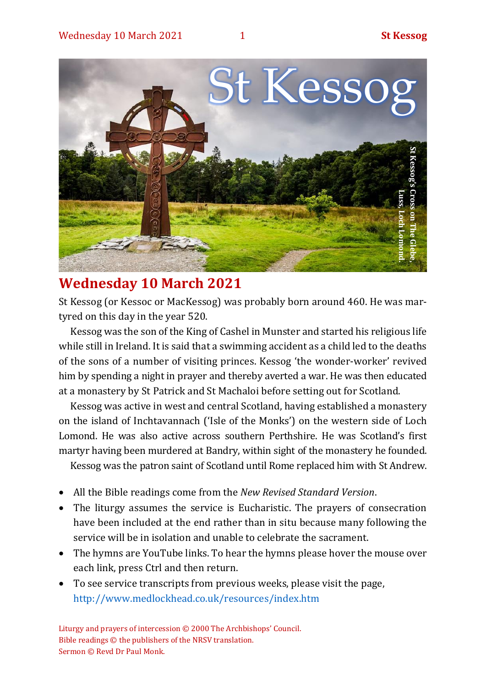

# **Wednesday 10 March 2021**

St Kessog (or Kessoc or MacKessog) was probably born around 460. He was martyred on this day in the year 520.

Kessog was the son of the King of Cashel in Munster and started his religious life while still in Ireland. It is said that a swimming accident as a child led to the deaths of the sons of a number of visiting princes. Kessog 'the wonder-worker' revived him by spending a night in prayer and thereby averted a war. He was then educated at a monastery by St Patrick and St Machaloi before setting out for Scotland.

Kessog was active in west and central Scotland, having established a monastery on the island of Inchtavannach ('Isle of the Monks') on the western side of Loch Lomond. He was also active across southern Perthshire. He was Scotland's first martyr having been murdered at Bandry, within sight of the monastery he founded.

Kessog was the patron saint of Scotland until Rome replaced him with St Andrew.

- All the Bible readings come from the *New Revised Standard Version*.
- The liturgy assumes the service is Eucharistic. The prayers of consecration have been included at the end rather than in situ because many following the service will be in isolation and unable to celebrate the sacrament.
- The hymns are YouTube links. To hear the hymns please hover the mouse over each link, press Ctrl and then return.
- To see service transcripts from previous weeks, please visit the page, <http://www.medlockhead.co.uk/resources/index.htm>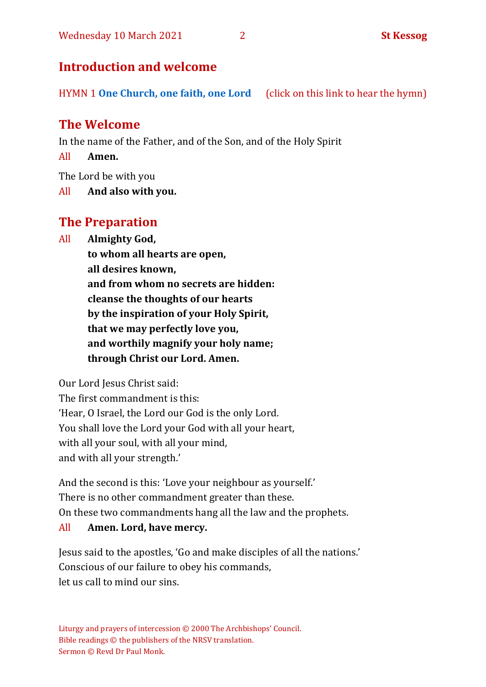# **Introduction and welcome**

HYMN 1 **[One Church, one faith, one Lord](https://www.youtube.com/watch?v=esJ7WWqG-dI&t=28s)** (click on this link to hear the hymn)

# **The Welcome**

In the name of the Father, and of the Son, and of the Holy Spirit

All **Amen.**

The Lord be with you

All **And also with you.**

# **The Preparation**

All **Almighty God,**

**to whom all hearts are open, all desires known, and from whom no secrets are hidden: cleanse the thoughts of our hearts by the inspiration of your Holy Spirit, that we may perfectly love you, and worthily magnify your holy name; through Christ our Lord. Amen.**

Our Lord Jesus Christ said:

The first commandment is this: 'Hear, O Israel, the Lord our God is the only Lord. You shall love the Lord your God with all your heart, with all your soul, with all your mind, and with all your strength.'

And the second is this: 'Love your neighbour as yourself.' There is no other commandment greater than these. On these two commandments hang all the law and the prophets.

### All **Amen. Lord, have mercy.**

Jesus said to the apostles, 'Go and make disciples of all the nations.' Conscious of our failure to obey his commands, let us call to mind our sins.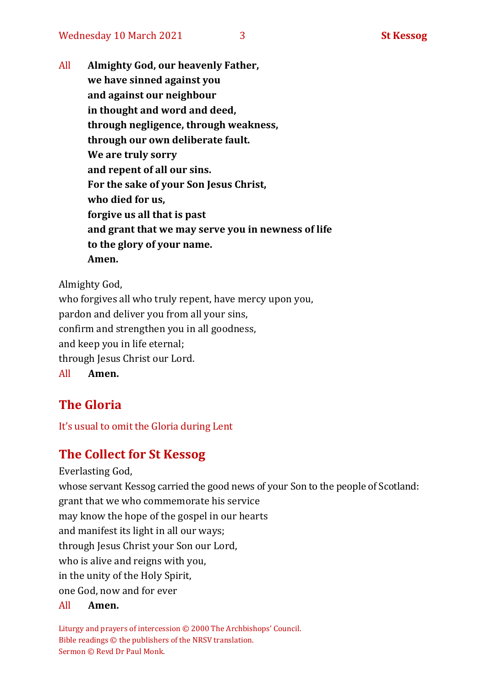All **Almighty God, our heavenly Father, we have sinned against you and against our neighbour in thought and word and deed, through negligence, through weakness, through our own deliberate fault. We are truly sorry and repent of all our sins. For the sake of your Son Jesus Christ, who died for us, forgive us all that is past and grant that we may serve you in newness of life to the glory of your name. Amen.**

Almighty God, who forgives all who truly repent, have mercy upon you, pardon and deliver you from all your sins, confirm and strengthen you in all goodness, and keep you in life eternal; through Jesus Christ our Lord. All **Amen.**

# **The Gloria**

It's usual to omit the Gloria during Lent

# **The Collect for St Kessog**

Everlasting God, whose servant Kessog carried the good news of your Son to the people of Scotland: grant that we who commemorate his service may know the hope of the gospel in our hearts and manifest its light in all our ways; through Jesus Christ your Son our Lord, who is alive and reigns with you, in the unity of the Holy Spirit, one God, now and for ever

#### All **Amen.**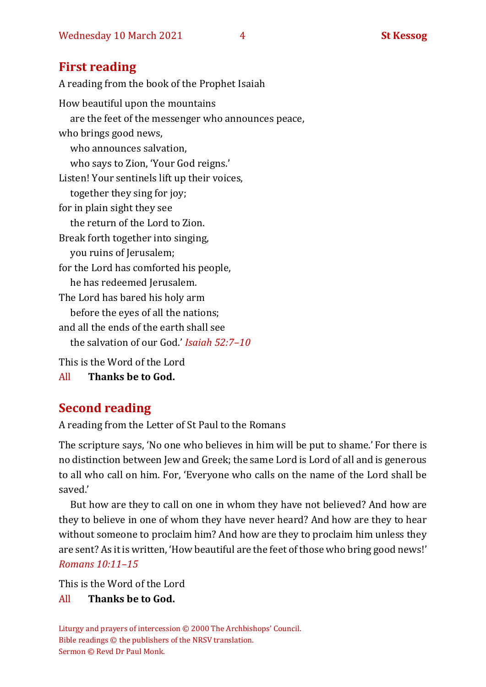# **First reading**

A reading from the book of the Prophet Isaiah How beautiful upon the mountains are the feet of the messenger who announces peace, who brings good news, who announces salvation, who says to Zion, 'Your God reigns.' Listen! Your sentinels lift up their voices, together they sing for joy; for in plain sight they see the return of the Lord to Zion. Break forth together into singing, you ruins of Jerusalem; for the Lord has comforted his people, he has redeemed Jerusalem. The Lord has bared his holy arm before the eyes of all the nations; and all the ends of the earth shall see the salvation of our God.' *Isaiah 52:7–10* This is the Word of the Lord

All **Thanks be to God.**

# **Second reading**

A reading from the Letter of St Paul to the Romans

The scripture says, 'No one who believes in him will be put to shame.' For there is no distinction between Jew and Greek; the same Lord is Lord of all and is generous to all who call on him. For, 'Everyone who calls on the name of the Lord shall be saved.'

But how are they to call on one in whom they have not believed? And how are they to believe in one of whom they have never heard? And how are they to hear without someone to proclaim him? And how are they to proclaim him unless they are sent? As it is written, 'How beautiful are the feet of those who bring good news!' *Romans 10:11–15* 

This is the Word of the Lord

### All **Thanks be to God.**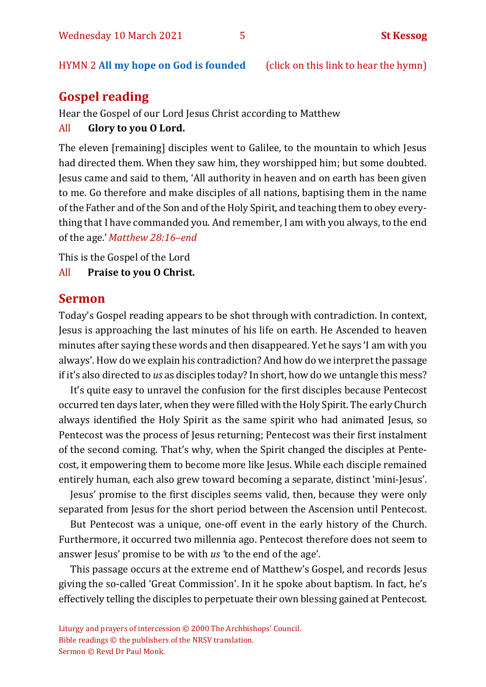#### HYMN 2 **[All](https://www.youtube.com/watch?v=e9FG12eTSbI) my hope on God is founded** (click on this link to hear the hymn)

# **Gospel reading**

Hear the Gospel of our Lord Jesus Christ according to Matthew

All **Glory to you O Lord.**

The eleven [remaining] disciples went to Galilee, to the mountain to which Jesus had directed them. When they saw him, they worshipped him; but some doubted. Jesus came and said to them, 'All authority in heaven and on earth has been given to me. Go therefore and make disciples of all nations, baptising them in the name of the Father and of the Son and of the Holy Spirit, and teaching them to obey everything that I have commanded you. And remember, I am with you always, to the end of the age.'*Matthew 28:16–end*

This is the Gospel of the Lord

All **Praise to you O Christ.** 

### **Sermon**

Today's Gospel reading appears to be shot through with contradiction. In context, Jesus is approaching the last minutes of his life on earth. He Ascended to heaven minutes after saying these words and then disappeared. Yet he says 'I am with you always'. How do we explain his contradiction? And how do we interpret the passage if it's also directed to *us* as disciples today? In short, how do we untangle this mess?

It's quite easy to unravel the confusion for the first disciples because Pentecost occurred ten days later, when they were filled with the Holy Spirit. The early Church always identified the Holy Spirit as the same spirit who had animated Jesus, so Pentecost was the process of Jesus returning; Pentecost was their first instalment of the second coming. That's why, when the Spirit changed the disciples at Pentecost, it empowering them to become more like Jesus. While each disciple remained entirely human, each also grew toward becoming a separate, distinct 'mini-Jesus'.

Jesus' promise to the first disciples seems valid, then, because they were only separated from Jesus for the short period between the Ascension until Pentecost.

But Pentecost was a unique, one-off event in the early history of the Church. Furthermore, it occurred two millennia ago. Pentecost therefore does not seem to answer Jesus' promise to be with *us '*to the end of the age'.

This passage occurs at the extreme end of Matthew's Gospel, and records Jesus giving the so-called 'Great Commission'. In it he spoke about baptism. In fact, he's effectively telling the disciples to perpetuate their own blessing gained at Pentecost.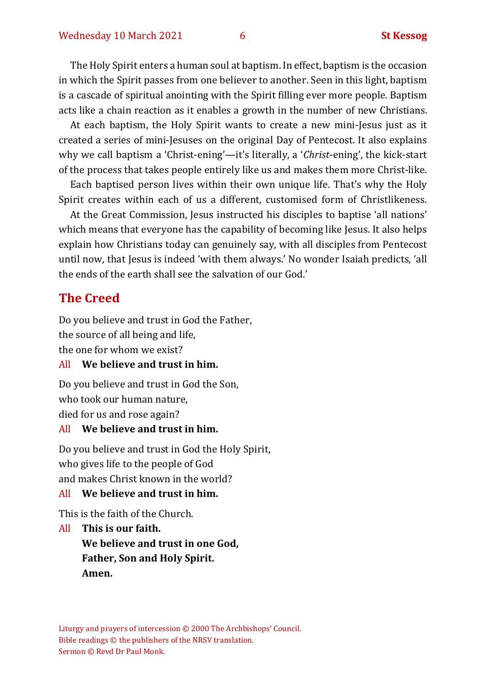The Holy Spirit enters a human soul at baptism. In effect, baptism is the occasion in which the Spirit passes from one believer to another. Seen in this light, baptism is a cascade of spiritual anointing with the Spirit filling ever more people. Baptism acts like a chain reaction as it enables a growth in the number of new Christians.

At each baptism, the Holy Spirit wants to create a new mini-Jesus just as it created a series of mini-Jesuses on the original Day of Pentecost. It also explains why we call baptism a 'Christ-ening'—it's literally, a '*Christ*-ening', the kick-start of the process that takes people entirely like us and makes them more Christ-like.

Each baptised person lives within their own unique life. That's why the Holy Spirit creates within each of us a different, customised form of Christlikeness.

At the Great Commission, Jesus instructed his disciples to baptise 'all nations' which means that everyone has the capability of becoming like Jesus. It also helps explain how Christians today can genuinely say, with all disciples from Pentecost until now, that Jesus is indeed 'with them always.' No wonder Isaiah predicts, 'all the ends of the earth shall see the salvation of our God.'

### **The Creed**

Do you believe and trust in God the Father, the source of all being and life, the one for whom we exist?

#### All **We believe and trust in him.**

Do you believe and trust in God the Son, who took our human nature, died for us and rose again?

#### All **We believe and trust in him.**

Do you believe and trust in God the Holy Spirit, who gives life to the people of God and makes Christ known in the world?

#### All **We believe and trust in him.**

This is the faith of the Church.

All **This is our faith. We believe and trust in one God, Father, Son and Holy Spirit. Amen.**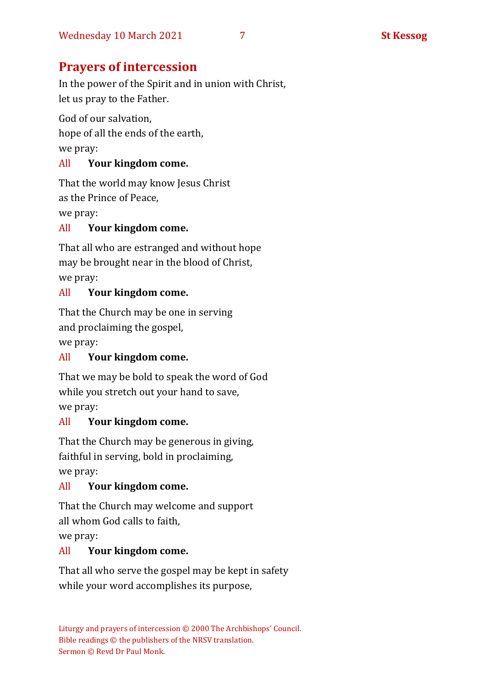# **Prayers of intercession**

In the power of the Spirit and in union with Christ, let us pray to the Father.

God of our salvation, hope of all the ends of the earth, we pray:

### All **Your kingdom come.**

That the world may know Jesus Christ as the Prince of Peace,

we pray:

#### All **Your kingdom come.**

That all who are estranged and without hope may be brought near in the blood of Christ, we pray:

#### All **Your kingdom come.**

That the Church may be one in serving

and proclaiming the gospel,

we pray:

### All **Your kingdom come.**

That we may be bold to speak the word of God while you stretch out your hand to save,

we pray:

### All **Your kingdom come.**

That the Church may be generous in giving, faithful in serving, bold in proclaiming, we pray:

### All **Your kingdom come.**

That the Church may welcome and support all whom God calls to faith,

we pray:

### All **Your kingdom come.**

That all who serve the gospel may be kept in safety while your word accomplishes its purpose,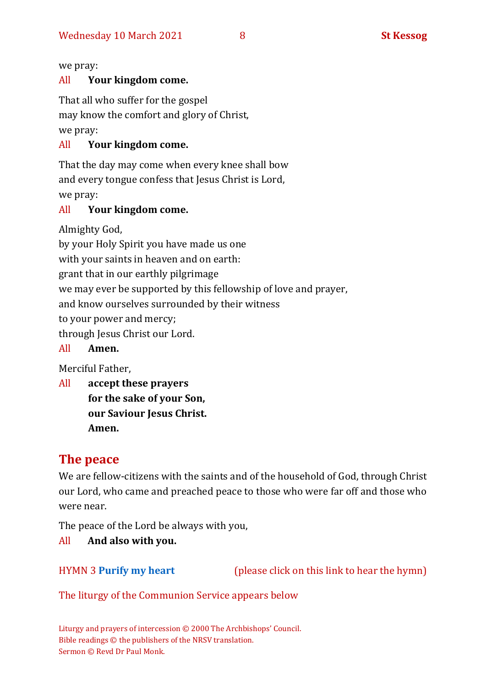we pray:

#### All **Your kingdom come.**

That all who suffer for the gospel

may know the comfort and glory of Christ,

we pray:

#### All **Your kingdom come.**

That the day may come when every knee shall bow and every tongue confess that Jesus Christ is Lord, we pray:

#### All **Your kingdom come.**

Almighty God,

by your Holy Spirit you have made us one

with your saints in heaven and on earth:

grant that in our earthly pilgrimage

we may ever be supported by this fellowship of love and prayer,

and know ourselves surrounded by their witness

to your power and mercy;

through Jesus Christ our Lord.

```
All Amen.
```
Merciful Father,

All **accept these prayers for the sake of your Son, our Saviour Jesus Christ. Amen.**

# **The peace**

We are fellow-citizens with the saints and of the household of God, through Christ our Lord, who came and preached peace to those who were far off and those who were near.

The peace of the Lord be always with you,

All **And also with you.**

HYMN 3 **[Purify my heart](https://www.youtube.com/watch?v=0IvXA0yRDwY)** (please click on this link to hear the hymn)

The liturgy of the Communion Service appears below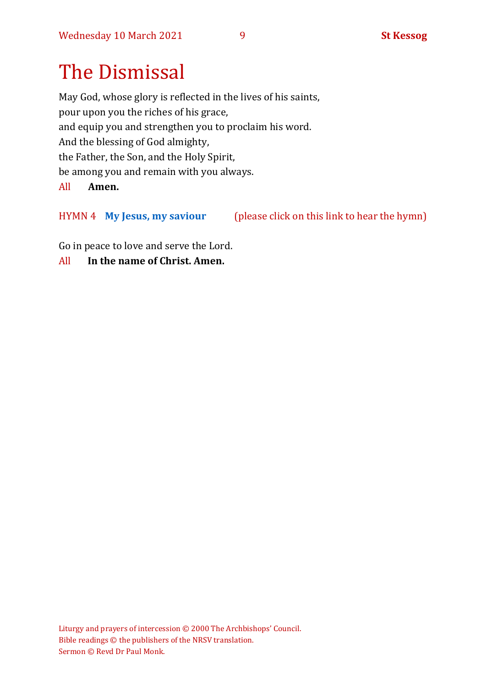# The Dismissal

May God, whose glory is reflected in the lives of his saints, pour upon you the riches of his grace, and equip you and strengthen you to proclaim his word. And the blessing of God almighty, the Father, the Son, and the Holy Spirit, be among you and remain with you always.

All **Amen.**

HYMN 4 **My Jesus, [my saviour](https://www.youtube.com/watch?v=mqSQvoinDE4)** (please click on this link to hear the hymn)

Go in peace to love and serve the Lord.

All **In the name of Christ. Amen.**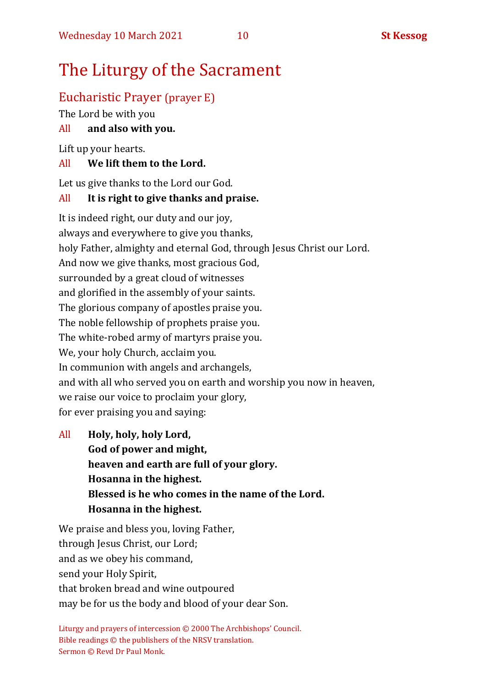# The Liturgy of the Sacrament

# Eucharistic Prayer (prayer E)

The Lord be with you

# All **and also with you.**

Lift up your hearts.

# All **We lift them to the Lord.**

Let us give thanks to the Lord our God.

## All **It is right to give thanks and praise.**

It is indeed right, our duty and our joy, always and everywhere to give you thanks, holy Father, almighty and eternal God, through Jesus Christ our Lord. And now we give thanks, most gracious God, surrounded by a great cloud of witnesses and glorified in the assembly of your saints. The glorious company of apostles praise you. The noble fellowship of prophets praise you. The white-robed army of martyrs praise you. We, your holy Church, acclaim you. In communion with angels and archangels, and with all who served you on earth and worship you now in heaven, we raise our voice to proclaim your glory, for ever praising you and saying:

All **Holy, holy, holy Lord, God of power and might, heaven and earth are full of your glory. Hosanna in the highest. Blessed is he who comes in the name of the Lord. Hosanna in the highest.**

We praise and bless you, loving Father, through Jesus Christ, our Lord; and as we obey his command, send your Holy Spirit, that broken bread and wine outpoured may be for us the body and blood of your dear Son.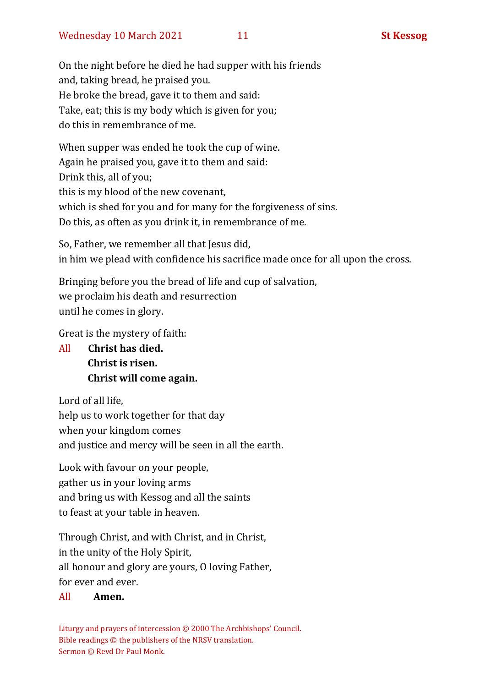On the night before he died he had supper with his friends and, taking bread, he praised you. He broke the bread, gave it to them and said: Take, eat; this is my body which is given for you; do this in remembrance of me.

When supper was ended he took the cup of wine. Again he praised you, gave it to them and said: Drink this, all of you; this is my blood of the new covenant, which is shed for you and for many for the forgiveness of sins. Do this, as often as you drink it, in remembrance of me.

So, Father, we remember all that Jesus did, in him we plead with confidence his sacrifice made once for all upon the cross.

Bringing before you the bread of life and cup of salvation, we proclaim his death and resurrection until he comes in glory.

Great is the mystery of faith:

All **Christ has died. Christ is risen. Christ will come again.**

Lord of all life, help us to work together for that day when your kingdom comes and justice and mercy will be seen in all the earth.

Look with favour on your people, gather us in your loving arms and bring us with Kessog and all the saints to feast at your table in heaven.

Through Christ, and with Christ, and in Christ, in the unity of the Holy Spirit, all honour and glory are yours, O loving Father, for ever and ever.

#### All **Amen.**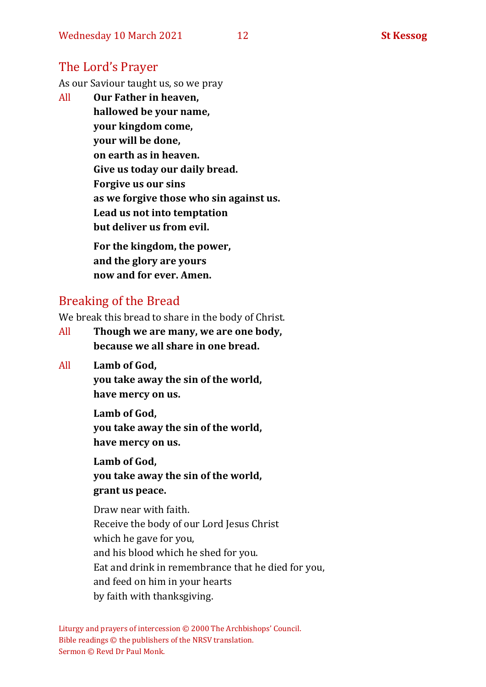# The Lord's Prayer

As our Saviour taught us, so we pray

All **Our Father in heaven, hallowed be your name, your kingdom come, your will be done, on earth as in heaven. Give us today our daily bread. Forgive us our sins as we forgive those who sin against us. Lead us not into temptation but deliver us from evil. For the kingdom, the power,** 

**and the glory are yours now and for ever. Amen.**

# Breaking of the Bread

We break this bread to share in the body of Christ.

- All **Though we are many, we are one body, because we all share in one bread.**
- All **Lamb of God,**

**you take away the sin of the world, have mercy on us.**

**Lamb of God,** 

**you take away the sin of the world, have mercy on us.**

**Lamb of God,** 

**you take away the sin of the world, grant us peace.**

Draw near with faith. Receive the body of our Lord Jesus Christ which he gave for you, and his blood which he shed for you. Eat and drink in remembrance that he died for you, and feed on him in your hearts by faith with thanksgiving.